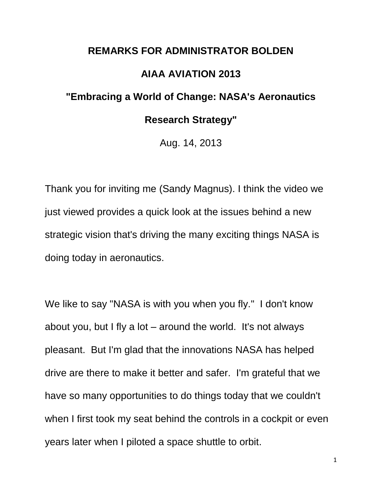## **REMARKS FOR ADMINISTRATOR BOLDEN AIAA AVIATION 2013 "Embracing a World of Change: NASA's Aeronautics**

## **Research Strategy"**

Aug. 14, 2013

Thank you for inviting me (Sandy Magnus). I think the video we just viewed provides a quick look at the issues behind a new strategic vision that's driving the many exciting things NASA is doing today in aeronautics.

We like to say "NASA is with you when you fly." I don't know about you, but I fly a lot – around the world. It's not always pleasant. But I'm glad that the innovations NASA has helped drive are there to make it better and safer. I'm grateful that we have so many opportunities to do things today that we couldn't when I first took my seat behind the controls in a cockpit or even years later when I piloted a space shuttle to orbit.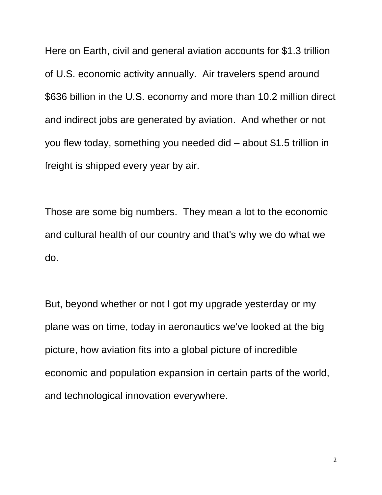Here on Earth, civil and general aviation accounts for \$1.3 trillion of U.S. economic activity annually. Air travelers spend around \$636 billion in the U.S. economy and more than 10.2 million direct and indirect jobs are generated by aviation. And whether or not you flew today, something you needed did – about \$1.5 trillion in freight is shipped every year by air.

Those are some big numbers. They mean a lot to the economic and cultural health of our country and that's why we do what we do.

But, beyond whether or not I got my upgrade yesterday or my plane was on time, today in aeronautics we've looked at the big picture, how aviation fits into a global picture of incredible economic and population expansion in certain parts of the world, and technological innovation everywhere.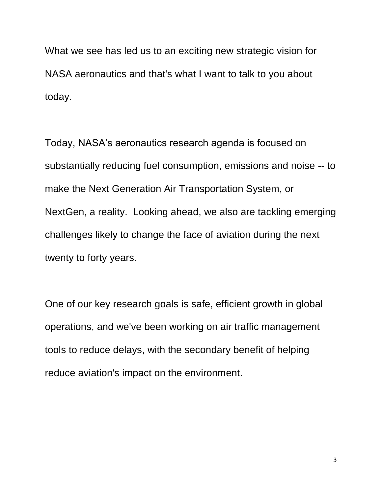What we see has led us to an exciting new strategic vision for NASA aeronautics and that's what I want to talk to you about today.

Today, NASA's aeronautics research agenda is focused on substantially reducing fuel consumption, emissions and noise -- to make the Next Generation Air Transportation System, or NextGen, a reality. Looking ahead, we also are tackling emerging challenges likely to change the face of aviation during the next twenty to forty years.

One of our key research goals is safe, efficient growth in global operations, and we've been working on air traffic management tools to reduce delays, with the secondary benefit of helping reduce aviation's impact on the environment.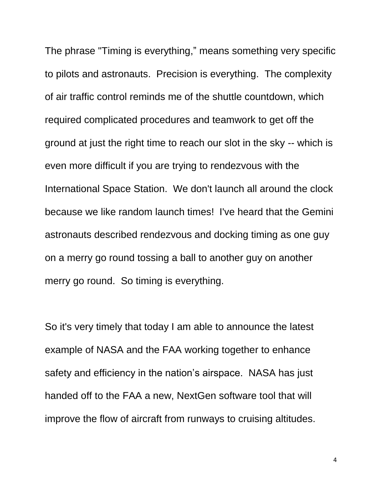The phrase "Timing is everything," means something very specific to pilots and astronauts. Precision is everything. The complexity of air traffic control reminds me of the shuttle countdown, which required complicated procedures and teamwork to get off the ground at just the right time to reach our slot in the sky -- which is even more difficult if you are trying to rendezvous with the International Space Station. We don't launch all around the clock because we like random launch times! I've heard that the Gemini astronauts described rendezvous and docking timing as one guy on a merry go round tossing a ball to another guy on another merry go round. So timing is everything.

So it's very timely that today I am able to announce the latest example of NASA and the FAA working together to enhance safety and efficiency in the nation's airspace. NASA has just handed off to the FAA a new, NextGen software tool that will improve the flow of aircraft from runways to cruising altitudes.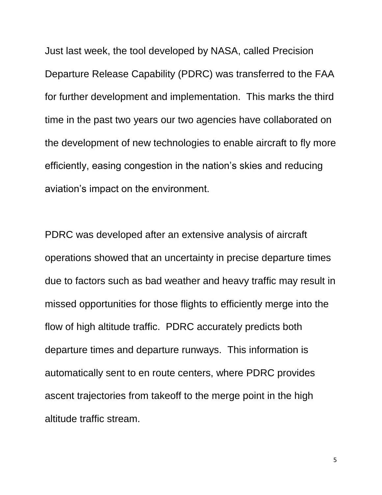Just last week, the tool developed by NASA, called Precision Departure Release Capability (PDRC) was transferred to the FAA for further development and implementation. This marks the third time in the past two years our two agencies have collaborated on the development of new technologies to enable aircraft to fly more efficiently, easing congestion in the nation's skies and reducing aviation's impact on the environment.

PDRC was developed after an extensive analysis of aircraft operations showed that an uncertainty in precise departure times due to factors such as bad weather and heavy traffic may result in missed opportunities for those flights to efficiently merge into the flow of high altitude traffic. PDRC accurately predicts both departure times and departure runways. This information is automatically sent to en route centers, where PDRC provides ascent trajectories from takeoff to the merge point in the high altitude traffic stream.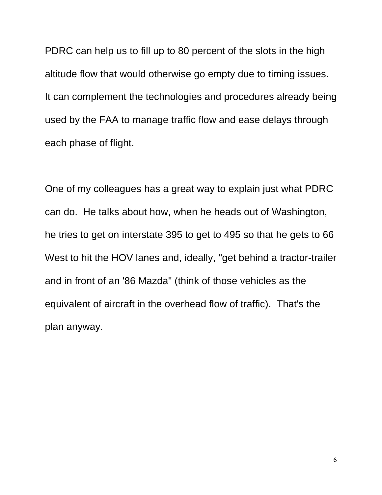PDRC can help us to fill up to 80 percent of the slots in the high altitude flow that would otherwise go empty due to timing issues. It can complement the technologies and procedures already being used by the FAA to manage traffic flow and ease delays through each phase of flight.

One of my colleagues has a great way to explain just what PDRC can do. He talks about how, when he heads out of Washington, he tries to get on interstate 395 to get to 495 so that he gets to 66 West to hit the HOV lanes and, ideally, "get behind a tractor-trailer and in front of an '86 Mazda" (think of those vehicles as the equivalent of aircraft in the overhead flow of traffic). That's the plan anyway.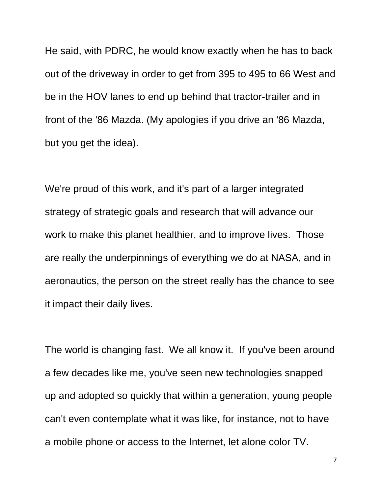He said, with PDRC, he would know exactly when he has to back out of the driveway in order to get from 395 to 495 to 66 West and be in the HOV lanes to end up behind that tractor-trailer and in front of the '86 Mazda. (My apologies if you drive an '86 Mazda, but you get the idea).

We're proud of this work, and it's part of a larger integrated strategy of strategic goals and research that will advance our work to make this planet healthier, and to improve lives. Those are really the underpinnings of everything we do at NASA, and in aeronautics, the person on the street really has the chance to see it impact their daily lives.

The world is changing fast. We all know it. If you've been around a few decades like me, you've seen new technologies snapped up and adopted so quickly that within a generation, young people can't even contemplate what it was like, for instance, not to have a mobile phone or access to the Internet, let alone color TV.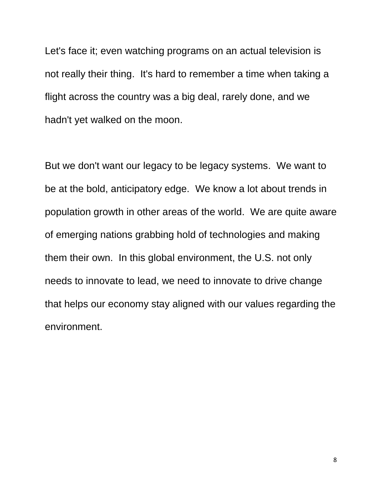Let's face it; even watching programs on an actual television is not really their thing. It's hard to remember a time when taking a flight across the country was a big deal, rarely done, and we hadn't yet walked on the moon.

But we don't want our legacy to be legacy systems. We want to be at the bold, anticipatory edge. We know a lot about trends in population growth in other areas of the world. We are quite aware of emerging nations grabbing hold of technologies and making them their own. In this global environment, the U.S. not only needs to innovate to lead, we need to innovate to drive change that helps our economy stay aligned with our values regarding the environment.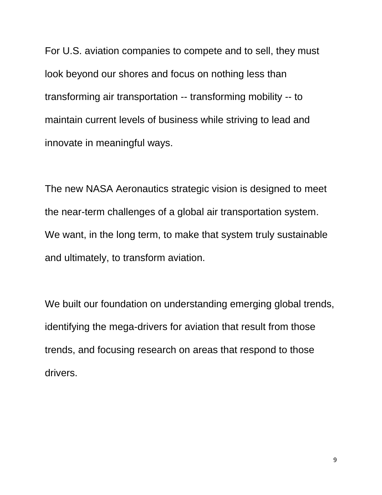For U.S. aviation companies to compete and to sell, they must look beyond our shores and focus on nothing less than transforming air transportation -- transforming mobility -- to maintain current levels of business while striving to lead and innovate in meaningful ways.

The new NASA Aeronautics strategic vision is designed to meet the near-term challenges of a global air transportation system. We want, in the long term, to make that system truly sustainable and ultimately, to transform aviation.

We built our foundation on understanding emerging global trends, identifying the mega-drivers for aviation that result from those trends, and focusing research on areas that respond to those drivers.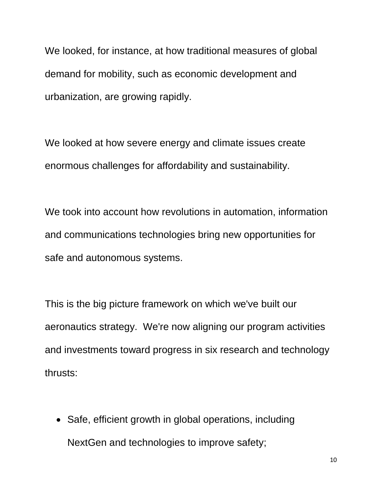We looked, for instance, at how traditional measures of global demand for mobility, such as economic development and urbanization, are growing rapidly.

We looked at how severe energy and climate issues create enormous challenges for affordability and sustainability.

We took into account how revolutions in automation, information and communications technologies bring new opportunities for safe and autonomous systems.

This is the big picture framework on which we've built our aeronautics strategy. We're now aligning our program activities and investments toward progress in six research and technology thrusts:

• Safe, efficient growth in global operations, including NextGen and technologies to improve safety;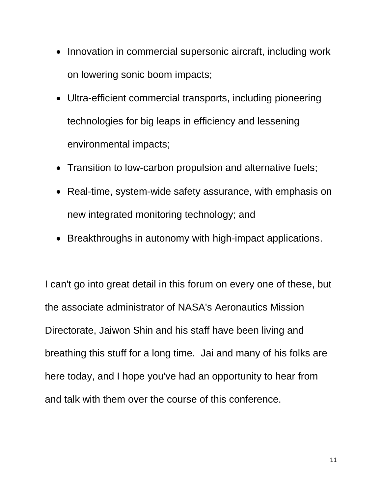- Innovation in commercial supersonic aircraft, including work on lowering sonic boom impacts;
- Ultra-efficient commercial transports, including pioneering technologies for big leaps in efficiency and lessening environmental impacts;
- Transition to low-carbon propulsion and alternative fuels;
- Real-time, system-wide safety assurance, with emphasis on new integrated monitoring technology; and
- Breakthroughs in autonomy with high-impact applications.

I can't go into great detail in this forum on every one of these, but the associate administrator of NASA's Aeronautics Mission Directorate, Jaiwon Shin and his staff have been living and breathing this stuff for a long time. Jai and many of his folks are here today, and I hope you've had an opportunity to hear from and talk with them over the course of this conference.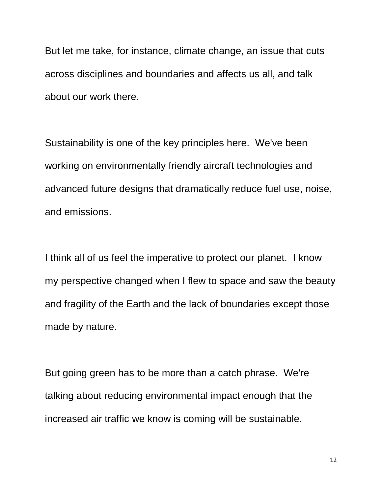But let me take, for instance, climate change, an issue that cuts across disciplines and boundaries and affects us all, and talk about our work there.

Sustainability is one of the key principles here. We've been working on environmentally friendly aircraft technologies and advanced future designs that dramatically reduce fuel use, noise, and emissions.

I think all of us feel the imperative to protect our planet. I know my perspective changed when I flew to space and saw the beauty and fragility of the Earth and the lack of boundaries except those made by nature.

But going green has to be more than a catch phrase. We're talking about reducing environmental impact enough that the increased air traffic we know is coming will be sustainable.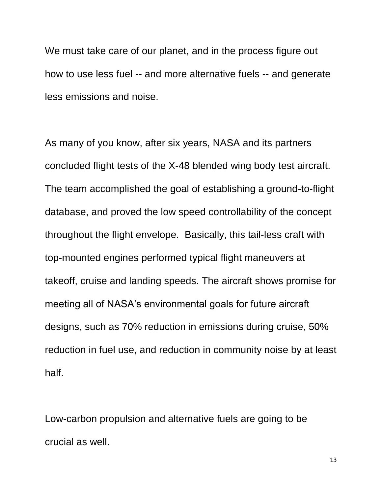We must take care of our planet, and in the process figure out how to use less fuel -- and more alternative fuels -- and generate less emissions and noise.

As many of you know, after six years, NASA and its partners concluded flight tests of the X-48 blended wing body test aircraft. The team accomplished the goal of establishing a ground-to-flight database, and proved the low speed controllability of the concept throughout the flight envelope. Basically, this tail-less craft with top-mounted engines performed typical flight maneuvers at takeoff, cruise and landing speeds. The aircraft shows promise for meeting all of NASA's environmental goals for future aircraft designs, such as 70% reduction in emissions during cruise, 50% reduction in fuel use, and reduction in community noise by at least half.

Low-carbon propulsion and alternative fuels are going to be crucial as well.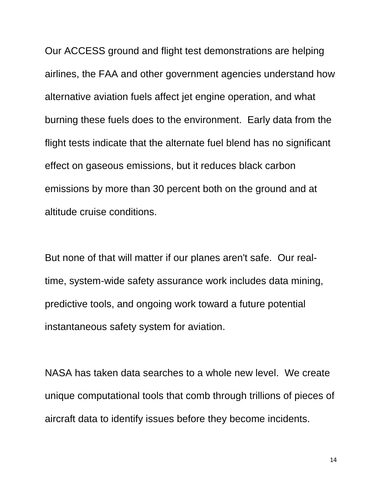Our ACCESS ground and flight test demonstrations are helping airlines, the FAA and other government agencies understand how alternative aviation fuels affect jet engine operation, and what burning these fuels does to the environment. Early data from the flight tests indicate that the alternate fuel blend has no significant effect on gaseous emissions, but it reduces black carbon emissions by more than 30 percent both on the ground and at altitude cruise conditions.

But none of that will matter if our planes aren't safe. Our realtime, system-wide safety assurance work includes data mining, predictive tools, and ongoing work toward a future potential instantaneous safety system for aviation.

NASA has taken data searches to a whole new level. We create unique computational tools that comb through trillions of pieces of aircraft data to identify issues before they become incidents.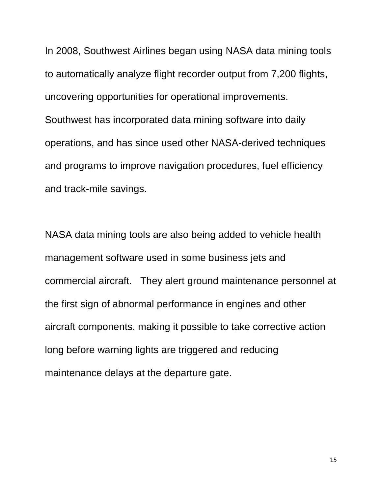In 2008, Southwest Airlines began using NASA data mining tools to automatically analyze flight recorder output from 7,200 flights, uncovering opportunities for operational improvements. Southwest has incorporated data mining software into daily operations, and has since used other NASA-derived techniques and programs to improve navigation procedures, fuel efficiency and track-mile savings.

NASA data mining tools are also being added to vehicle health management software used in some business jets and commercial aircraft. They alert ground maintenance personnel at the first sign of abnormal performance in engines and other aircraft components, making it possible to take corrective action long before warning lights are triggered and reducing maintenance delays at the departure gate.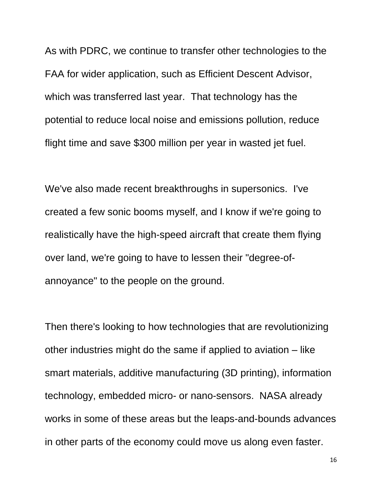As with PDRC, we continue to transfer other technologies to the FAA for wider application, such as Efficient Descent Advisor, which was transferred last year. That technology has the potential to reduce local noise and emissions pollution, reduce flight time and save \$300 million per year in wasted jet fuel.

We've also made recent breakthroughs in supersonics. I've created a few sonic booms myself, and I know if we're going to realistically have the high-speed aircraft that create them flying over land, we're going to have to lessen their "degree-ofannoyance" to the people on the ground.

Then there's looking to how technologies that are revolutionizing other industries might do the same if applied to aviation – like smart materials, additive manufacturing (3D printing), information technology, embedded micro- or nano-sensors. NASA already works in some of these areas but the leaps-and-bounds advances in other parts of the economy could move us along even faster.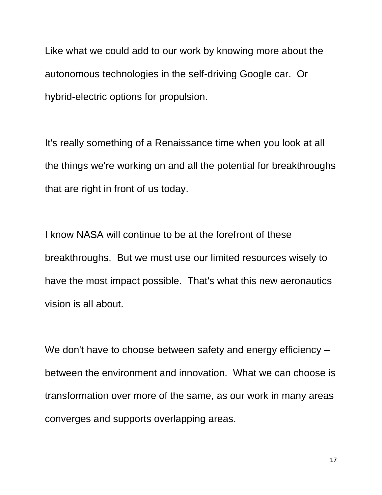Like what we could add to our work by knowing more about the autonomous technologies in the self-driving Google car. Or hybrid-electric options for propulsion.

It's really something of a Renaissance time when you look at all the things we're working on and all the potential for breakthroughs that are right in front of us today.

I know NASA will continue to be at the forefront of these breakthroughs. But we must use our limited resources wisely to have the most impact possible. That's what this new aeronautics vision is all about.

We don't have to choose between safety and energy efficiency – between the environment and innovation. What we can choose is transformation over more of the same, as our work in many areas converges and supports overlapping areas.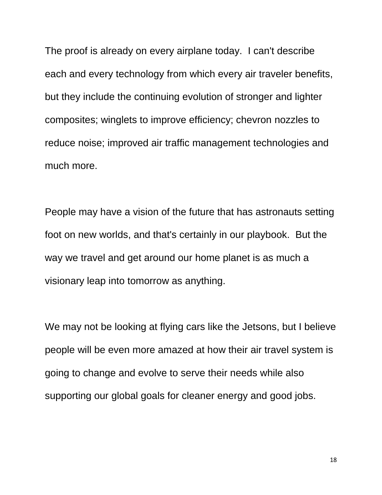The proof is already on every airplane today. I can't describe each and every technology from which every air traveler benefits, but they include the continuing evolution of stronger and lighter composites; winglets to improve efficiency; chevron nozzles to reduce noise; improved air traffic management technologies and much more.

People may have a vision of the future that has astronauts setting foot on new worlds, and that's certainly in our playbook. But the way we travel and get around our home planet is as much a visionary leap into tomorrow as anything.

We may not be looking at flying cars like the Jetsons, but I believe people will be even more amazed at how their air travel system is going to change and evolve to serve their needs while also supporting our global goals for cleaner energy and good jobs.